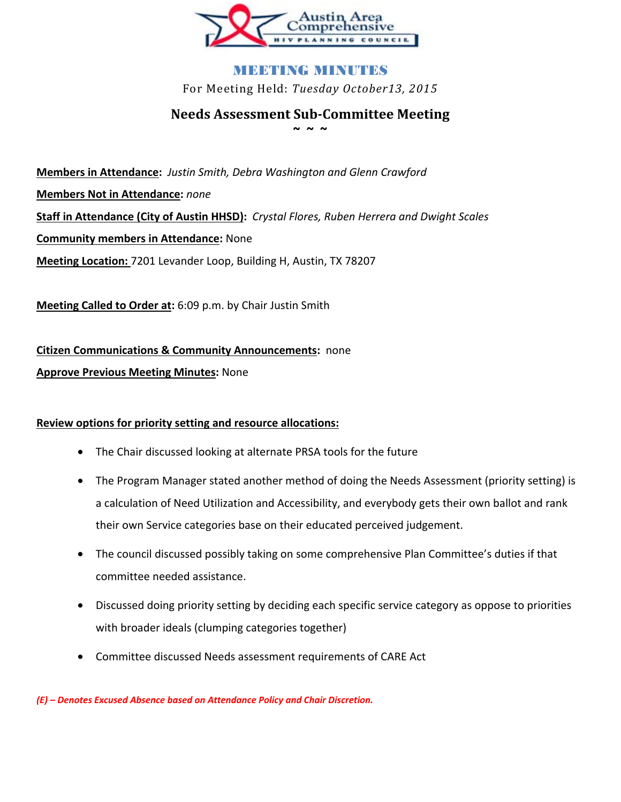

# MEETING MENDENS For Meeting Held: *Tuesday October13, 2015*

# **Needs Assessment Sub-Committee Meeting ~ ~ ~**

**Members in Attendance:** *Justin Smith, Debra Washington and Glenn Crawford*  **Members Not in Attendance:** *none*  **Staff in Attendance (City of Austin HHSD):** *Crystal Flores, Ruben Herrera and Dwight Scales* **Community members in Attendance:** None **Meeting Location:** 7201 Levander Loop, Building H, Austin, TX 78207

**Meeting Called to Order at:** 6:09 p.m. by Chair Justin Smith

**Citizen Communications & Community Announcements:** none

### **Approve Previous Meeting Minutes:** None

### **Review options for priority setting and resource allocations:**

- The Chair discussed looking at alternate PRSA tools for the future
- The Program Manager stated another method of doing the Needs Assessment (priority setting) is a calculation of Need Utilization and Accessibility, and everybody gets their own ballot and rank their own Service categories base on their educated perceived judgement.
- The council discussed possibly taking on some comprehensive Plan Committee's duties if that committee needed assistance.
- Discussed doing priority setting by deciding each specific service category as oppose to priorities with broader ideals (clumping categories together)
- Committee discussed Needs assessment requirements of CARE Act

*(E) – Denotes Excused Absence based on Attendance Policy and Chair Discretion.*